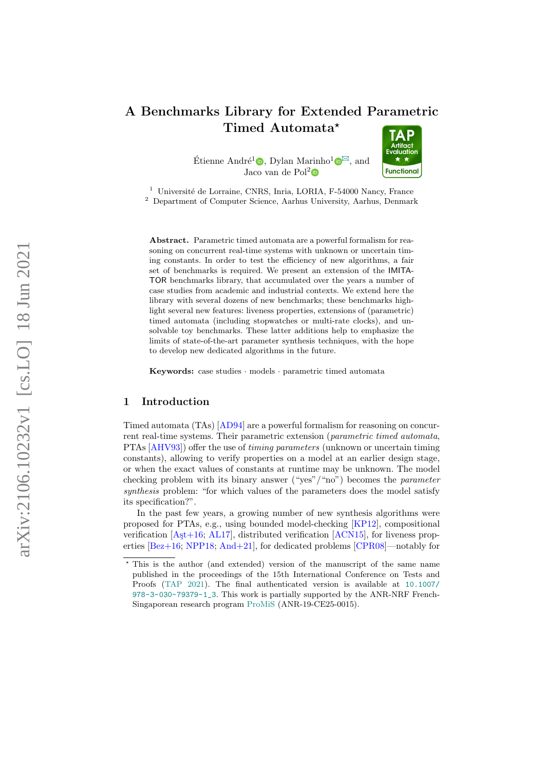# <span id="page-0-0"></span>A Benchmarks Library for Extended Parametric Timed Automata\*

Étienne André<sup>1</sup><sup>®</sup>[,](https://orcid.org/0000-0001-8473-9555) Dylan Marinho<sup>1</sup><sup>®</sup>, and Jaco van de Pol 2



<sup>1</sup> Université de Lorraine, CNRS, Inria, LORIA, F-54000 Nancy, France <sup>2</sup> Department of Computer Science, Aarhus University, Aarhus, Denmark

Abstract. Parametric timed automata are a powerful formalism for reasoning on concurrent real-time systems with unknown or uncertain timing constants. In order to test the efficiency of new algorithms, a fair set of benchmarks is required. We present an extension of the IMITA-TOR benchmarks library, that accumulated over the years a number of case studies from academic and industrial contexts. We extend here the library with several dozens of new benchmarks; these benchmarks highlight several new features: liveness properties, extensions of (parametric) timed automata (including stopwatches or multi-rate clocks), and unsolvable toy benchmarks. These latter additions help to emphasize the limits of state-of-the-art parameter synthesis techniques, with the hope to develop new dedicated algorithms in the future.

Keywords: case studies · models · parametric timed automata

### 1 Introduction

Timed automata (TAs) [\[AD94\]](#page-10-0) are a powerful formalism for reasoning on concurrent real-time systems. Their parametric extension (parametric timed automata, PTAs [\[AHV93\]](#page-10-1)) offer the use of timing parameters (unknown or uncertain timing constants), allowing to verify properties on a model at an earlier design stage, or when the exact values of constants at runtime may be unknown. The model checking problem with its binary answer ("yes"/"no") becomes the *parameter* synthesis problem: "for which values of the parameters does the model satisfy its specification?".

In the past few years, a growing number of new synthesis algorithms were proposed for PTAs, e.g., using bounded model-checking [\[KP12\]](#page-13-0), compositional verification  $[A<sub>5</sub>t+16; AL17]$  $[A<sub>5</sub>t+16; AL17]$ , distributed verification  $[ACN15]$ , for liveness properties [\[Bez+16;](#page-12-1) [NPP18;](#page-14-0) [And+21\]](#page-11-0), for dedicated problems [\[CPR08\]](#page-12-2)—notably for

<sup>?</sup> This is the author (and extended) version of the manuscript of the same name published in the proceedings of the 15th International Conference on Tests and Proofs [\(TAP 2021\)](https://www.univ-orleans.fr/lifo/evenements/TAP2021/). The final authenticated version is available at [10.1007/](https://www.doi.org/10.1007/978-3-030-79379-1_3) [978-3-030-79379-1\\_3](https://www.doi.org/10.1007/978-3-030-79379-1_3). This work is partially supported by the ANR-NRF French-Singaporean research program [ProMiS](https://www.loria.science/ProMiS/) (ANR-19-CE25-0015).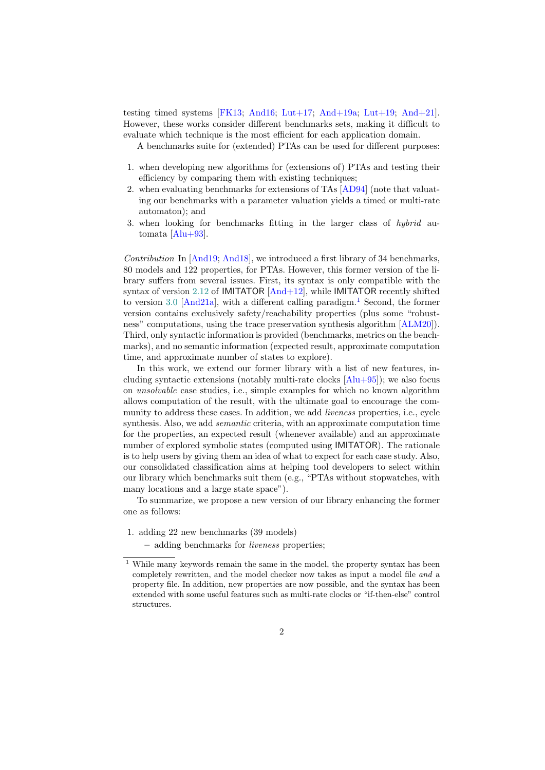<span id="page-1-1"></span>testing timed systems [\[FK13;](#page-12-3) [And16;](#page-11-1) [Lut+17;](#page-13-1) [And+19a;](#page-11-2) [Lut+19;](#page-13-2) [And+21\]](#page-11-0). However, these works consider different benchmarks sets, making it difficult to evaluate which technique is the most efficient for each application domain.

A benchmarks suite for (extended) PTAs can be used for different purposes:

- 1. when developing new algorithms for (extensions of) PTAs and testing their efficiency by comparing them with existing techniques;
- 2. when evaluating benchmarks for extensions of TAs [\[AD94\]](#page-10-0) (note that valuating our benchmarks with a parameter valuation yields a timed or multi-rate automaton); and
- 3. when looking for benchmarks fitting in the larger class of hybrid automata [\[Alu+93\]](#page-10-4).

Contribution In [\[And19;](#page-11-3) [And18\]](#page-11-4), we introduced a first library of 34 benchmarks, 80 models and 122 properties, for PTAs. However, this former version of the library suffers from several issues. First, its syntax is only compatible with the syntax of version [2.12](https://github.com/imitator-model-checker/imitator/releases/tag/v2.12) of IMITATOR [\[And+12\]](#page-11-5), while IMITATOR recently shifted to version [3.0](https://github.com/imitator-model-checker/imitator/releases/tag/v3.0.0) [\[And21a\]](#page-12-4), with a different calling paradigm.<sup>[1](#page-1-0)</sup> Second, the former version contains exclusively safety/reachability properties (plus some "robustness" computations, using the trace preservation synthesis algorithm [\[ALM20\]](#page-10-5)). Third, only syntactic information is provided (benchmarks, metrics on the benchmarks), and no semantic information (expected result, approximate computation time, and approximate number of states to explore).

In this work, we extend our former library with a list of new features, including syntactic extensions (notably multi-rate clocks  $[A]u+95$ ); we also focus on unsolvable case studies, i.e., simple examples for which no known algorithm allows computation of the result, with the ultimate goal to encourage the community to address these cases. In addition, we add *liveness* properties, i.e., cycle synthesis. Also, we add *semantic* criteria, with an approximate computation time for the properties, an expected result (whenever available) and an approximate number of explored symbolic states (computed using IMITATOR). The rationale is to help users by giving them an idea of what to expect for each case study. Also, our consolidated classification aims at helping tool developers to select within our library which benchmarks suit them (e.g., "PTAs without stopwatches, with many locations and a large state space").

To summarize, we propose a new version of our library enhancing the former one as follows:

- 1. adding 22 new benchmarks (39 models)
	- adding benchmarks for liveness properties;

<span id="page-1-0"></span> $^{\rm 1}$  While many keywords remain the same in the model, the property syntax has been completely rewritten, and the model checker now takes as input a model file and a property file. In addition, new properties are now possible, and the syntax has been extended with some useful features such as multi-rate clocks or "if-then-else" control structures.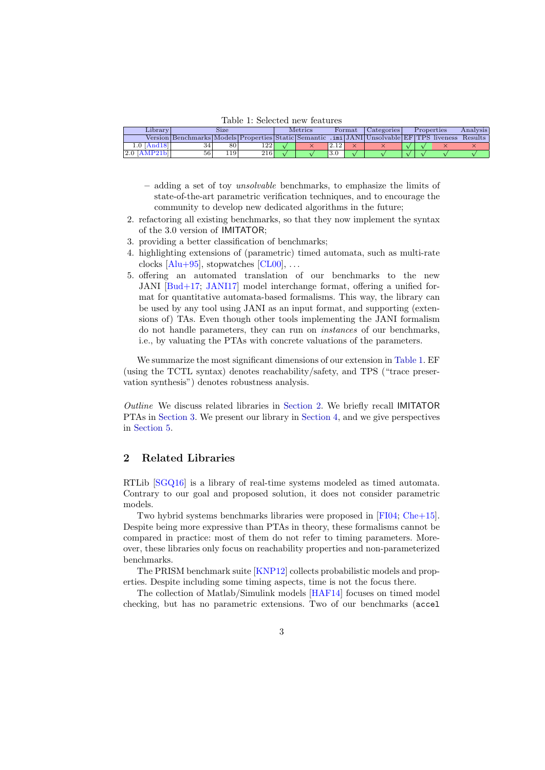Table 1: Selected new features

<span id="page-2-2"></span><span id="page-2-0"></span>

| Library'         |                                                                                                                            | Size |      | <b>Metrics</b> |     | Format | Categories | Properties | Analysis |
|------------------|----------------------------------------------------------------------------------------------------------------------------|------|------|----------------|-----|--------|------------|------------|----------|
|                  | Version   Benchmarks   Models   Properties   Static   Semantic   . imi   JANI   Unsolvable   EF   TPS   liveness   Results |      |      |                |     |        |            |            |          |
| $1.0$  And $18$  |                                                                                                                            | 80   | 1221 |                |     |        |            |            |          |
| $\gamma$  AMP21. | 56                                                                                                                         | .19  | 216  |                | 3.0 |        |            |            |          |

- adding a set of toy unsolvable benchmarks, to emphasize the limits of state-of-the-art parametric verification techniques, and to encourage the community to develop new dedicated algorithms in the future;
- 2. refactoring all existing benchmarks, so that they now implement the syntax of the 3.0 version of IMITATOR;
- 3. providing a better classification of benchmarks;
- 4. highlighting extensions of (parametric) timed automata, such as multi-rate clocks  $[A]u+95]$ , stopwatches  $[CL00]$ , ...
- 5. offering an automated translation of our benchmarks to the new JANI [\[Bud+17;](#page-12-6) [JANI17\]](#page-13-3) model interchange format, offering a unified format for quantitative automata-based formalisms. This way, the library can be used by any tool using JANI as an input format, and supporting (extensions of) TAs. Even though other tools implementing the JANI formalism do not handle parameters, they can run on instances of our benchmarks, i.e., by valuating the PTAs with concrete valuations of the parameters.

We summarize the most significant dimensions of our extension in [Table 1.](#page-2-0) EF (using the TCTL syntax) denotes reachability/safety, and TPS ("trace preservation synthesis") denotes robustness analysis.

Outline We discuss related libraries in [Section 2.](#page-2-1) We briefly recall IMITATOR PTAs in [Section 3.](#page-3-0) We present our library in [Section 4,](#page-4-0) and we give perspectives in [Section 5.](#page-9-0)

# <span id="page-2-1"></span>2 Related Libraries

RTLib [\[SGQ16\]](#page-14-1) is a library of real-time systems modeled as timed automata. Contrary to our goal and proposed solution, it does not consider parametric models.

Two hybrid systems benchmarks libraries were proposed in [\[FI04;](#page-12-7) [Che+15\]](#page-12-8). Despite being more expressive than PTAs in theory, these formalisms cannot be compared in practice: most of them do not refer to timing parameters. Moreover, these libraries only focus on reachability properties and non-parameterized benchmarks.

The PRISM benchmark suite [\[KNP12\]](#page-13-4) collects probabilistic models and properties. Despite including some timing aspects, time is not the focus there.

The collection of Matlab/Simulink models [\[HAF14\]](#page-13-5) focuses on timed model checking, but has no parametric extensions. Two of our benchmarks (accel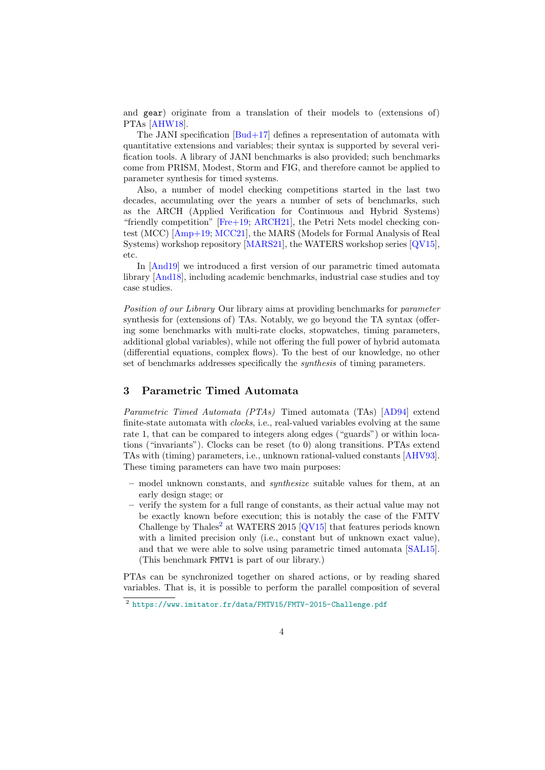<span id="page-3-2"></span>and gear) originate from a translation of their models to (extensions of) PTAs [\[AHW18\]](#page-10-7).

The JANI specification [\[Bud+17\]](#page-12-6) defines a representation of automata with quantitative extensions and variables; their syntax is supported by several verification tools. A library of JANI benchmarks is also provided; such benchmarks come from PRISM, Modest, Storm and FIG, and therefore cannot be applied to parameter synthesis for timed systems.

Also, a number of model checking competitions started in the last two decades, accumulating over the years a number of sets of benchmarks, such as the ARCH (Applied Verification for Continuous and Hybrid Systems) "friendly competition" [\[Fre+19;](#page-13-6) [ARCH21\]](#page-12-9), the Petri Nets model checking contest (MCC) [\[Amp+19;](#page-11-7) [MCC21\]](#page-14-2), the MARS (Models for Formal Analysis of Real Systems) workshop repository [\[MARS21\]](#page-13-7), the WATERS workshop series [\[QV15\]](#page-14-3), etc.

In [\[And19\]](#page-11-3) we introduced a first version of our parametric timed automata library [\[And18\]](#page-11-4), including academic benchmarks, industrial case studies and toy case studies.

Position of our Library Our library aims at providing benchmarks for parameter synthesis for (extensions of) TAs. Notably, we go beyond the TA syntax (offering some benchmarks with multi-rate clocks, stopwatches, timing parameters, additional global variables), while not offering the full power of hybrid automata (differential equations, complex flows). To the best of our knowledge, no other set of benchmarks addresses specifically the *synthesis* of timing parameters.

# <span id="page-3-0"></span>3 Parametric Timed Automata

Parametric Timed Automata (PTAs) Timed automata (TAs) [\[AD94\]](#page-10-0) extend finite-state automata with clocks, i.e., real-valued variables evolving at the same rate 1, that can be compared to integers along edges ("guards") or within locations ("invariants"). Clocks can be reset (to 0) along transitions. PTAs extend TAs with (timing) parameters, i.e., unknown rational-valued constants [\[AHV93\]](#page-10-1). These timing parameters can have two main purposes:

- model unknown constants, and synthesize suitable values for them, at an early design stage; or
- verify the system for a full range of constants, as their actual value may not be exactly known before execution; this is notably the case of the FMTV Challenge by Thales<sup>[2](#page-3-1)</sup> at WATERS 2015  $[QV15]$  that features periods known with a limited precision only (i.e., constant but of unknown exact value), and that we were able to solve using parametric timed automata [\[SAL15\]](#page-14-4). (This benchmark FMTV1 is part of our library.)

PTAs can be synchronized together on shared actions, or by reading shared variables. That is, it is possible to perform the parallel composition of several

<span id="page-3-1"></span><sup>2</sup> <https://www.imitator.fr/data/FMTV15/FMTV-2015-Challenge.pdf>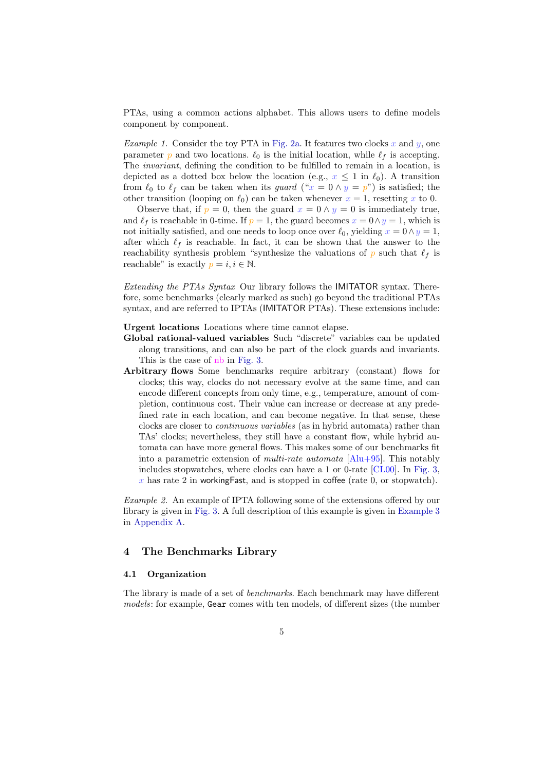<span id="page-4-1"></span>PTAs, using a common actions alphabet. This allows users to define models component by component.

*Example 1.* Consider the toy PTA in [Fig. 2a.](#page-8-0) It features two clocks  $x$  and  $y$ , one parameter p and two locations.  $\ell_0$  is the initial location, while  $\ell_f$  is accepting. The invariant, defining the condition to be fulfilled to remain in a location, is depicted as a dotted box below the location (e.g.,  $x \leq 1$  in  $\ell_0$ ). A transition from  $\ell_0$  to  $\ell_f$  can be taken when its *guard* (" $x = 0 \wedge y = p$ ") is satisfied; the other transition (looping on  $\ell_0$ ) can be taken whenever  $x = 1$ , resetting x to 0.

Observe that, if  $p = 0$ , then the guard  $x = 0 \wedge y = 0$  is immediately true, and  $\ell_f$  is reachable in 0-time. If  $p = 1$ , the guard becomes  $x = 0 \land y = 1$ , which is not initially satisfied, and one needs to loop once over  $\ell_0$ , yielding  $x = 0 \land y = 1$ , after which  $\ell_f$  is reachable. In fact, it can be shown that the answer to the reachability synthesis problem "synthesize the valuations of p such that  $\ell_f$  is reachable" is exactly  $p = i, i \in \mathbb{N}$ .

Extending the PTAs Syntax Our library follows the IMITATOR syntax. Therefore, some benchmarks (clearly marked as such) go beyond the traditional PTAs syntax, and are referred to IPTAs (IMITATOR PTAs). These extensions include:

Urgent locations Locations where time cannot elapse.

- Global rational-valued variables Such "discrete" variables can be updated along transitions, and can also be part of the clock guards and invariants. This is the case of nb in [Fig. 3.](#page-14-5)
- Arbitrary flows Some benchmarks require arbitrary (constant) flows for clocks; this way, clocks do not necessary evolve at the same time, and can encode different concepts from only time, e.g., temperature, amount of completion, continuous cost. Their value can increase or decrease at any predefined rate in each location, and can become negative. In that sense, these clocks are closer to continuous variables (as in hybrid automata) rather than TAs' clocks; nevertheless, they still have a constant flow, while hybrid automata can have more general flows. This makes some of our benchmarks fit into a parametric extension of *multi-rate automata*  $[Alu+95]$ . This notably includes stopwatches, where clocks can have a 1 or 0-rate [\[CL00\]](#page-12-5). In [Fig. 3,](#page-14-5)  $x$  has rate 2 in working Fast, and is stopped in coffee (rate 0, or stopwatch).

Example 2. An example of IPTA following some of the extensions offered by our library is given in [Fig. 3.](#page-14-5) A full description of this example is given in [Example 3](#page-14-6) in [Appendix A.](#page-14-7)

#### <span id="page-4-0"></span>4 The Benchmarks Library

#### 4.1 Organization

The library is made of a set of *benchmarks*. Each benchmark may have different models: for example, Gear comes with ten models, of different sizes (the number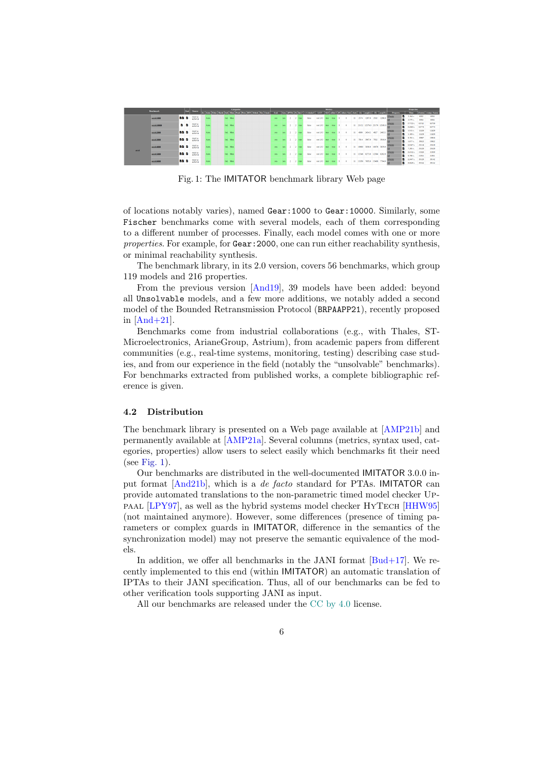<span id="page-5-1"></span><span id="page-5-0"></span>

|       | <b>Benchmark</b> |             | <b>Land</b> | Source        |  |           | Categories |  |  |  |          |       |              | <b>Metrics</b> . |             |  |    |             |                                |        |              |          |    | <b>Properties</b>                    |       |                        |
|-------|------------------|-------------|-------------|---------------|--|-----------|------------|--|--|--|----------|-------|--------------|------------------|-------------|--|----|-------------|--------------------------------|--------|--------------|----------|----|--------------------------------------|-------|------------------------|
|       |                  |             |             |               |  |           |            |  |  |  |          |       |              |                  |             |  |    |             |                                |        |              | Property |    | Time.                                |       | States!   Josepa State |
|       | accel:1000       | <b>DE 6</b> |             | <b>HAF14</b>  |  | Ind. Mon. |            |  |  |  | 2 2 true | false | not L/U      |                  | <b>True</b> |  |    | $11 - 2574$ | 1287.0 2502 1295.0             |        |              | Elgenny  | 6  | 3.164 s.                             | 6502  | 6504                   |
|       |                  |             |             | AHW18         |  |           |            |  |  |  |          |       |              |                  |             |  |    |             |                                |        |              |          | в. | 2.575 K                              | 6504  | 0504                   |
|       | accel:10000      |             | <b>B</b> B  | <b>HAF14</b>  |  | Ind. Mon. |            |  |  |  |          | foton | not L/U      |                  |             |  |    |             | 11 25152 12576.0 25170 12585.0 |        |              |          |    | 17.722 s.                            | 63741 | 63259                  |
|       |                  |             |             | AHW18         |  |           |            |  |  |  |          |       |              |                  |             |  |    |             |                                |        |              |          |    | <b>B</b> 15,603 x 63773              |       | 63773                  |
|       | accel:2000       | <b>BBB</b>  |             | HAF14         |  | Ind. Mon. |            |  |  |  |          | false | not LAU      |                  |             |  | п  | 4922        | 2454.5 4927 2453.5             |        |              |          |    | <b>B</b> 5.915 s.                    | 12426 | 12429                  |
|       |                  |             |             | <b>AIDVIL</b> |  |           |            |  |  |  |          |       |              |                  |             |  |    |             |                                |        |              |          | в  | 51095 12429                          |       | 12429                  |
|       | accel:3000       | <b>BBB</b>  |             | HAF14         |  | Ind. Mon. |            |  |  |  |          | false | not LAU      |                  |             |  |    | 7814        | 2007.0                         | 7832   | 2916.0       |          |    | <b>B</b> 8.781 s. 19907              |       | 19900                  |
|       |                  |             |             | <b>AIDVIL</b> |  |           |            |  |  |  |          |       |              |                  |             |  |    |             |                                |        |              |          | п. | 5.877 s.                             | 19922 | 19922                  |
|       | accel:4000       | <b>BB B</b> |             | <b>HAF14</b>  |  | Ind. Mon. |            |  |  |  |          | false | not LAT      |                  |             |  | п  | 10060       | 5030.0                         |        | 10078 5039.0 |          |    | <b>B</b> 12.0475, 25514              |       | 25588                  |
| accel |                  |             |             | <b>AHW18</b>  |  |           |            |  |  |  |          |       |              |                  |             |  |    |             |                                |        |              |          |    | <b>B</b> 7.265 s.                    | 25520 | 25520                  |
|       | accel 5000       | <b>BB B</b> |             | <b>BLAF14</b> |  | Ind. Mon. |            |  |  |  |          | false | set L/U      |                  |             |  | п. |             | 12546 6273.0                   |        | 12564 6282.0 |          |    | <b>B</b> 15,012 s.                   | 31526 | 31933                  |
|       |                  |             |             | <b>AFWIE</b>  |  |           |            |  |  |  |          |       |              |                  |             |  |    |             |                                |        |              |          |    | <b>B</b> 8.786 s.                    | 31951 | 31951                  |
|       | accel:6000       | <b>BB B</b> |             | <b>HAF14</b>  |  | Ind. Mon. |            |  |  |  |          |       | <b>BOLLU</b> |                  |             |  |    | 15390       | 7665.0                         | 15,498 | 7704.0       |          |    | <b>B</b> 12.447 <sub>5</sub> , 29129 |       | 39142                  |
|       |                  |             |             | <b>AHW18</b>  |  |           |            |  |  |  |          |       |              |                  |             |  |    |             |                                |        |              |          |    | <b>B</b> there costs                 |       | 26157                  |

Fig. 1: The IMITATOR benchmark library Web page

of locations notably varies), named Gear:1000 to Gear:10000. Similarly, some Fischer benchmarks come with several models, each of them corresponding to a different number of processes. Finally, each model comes with one or more properties. For example, for Gear: 2000, one can run either reachability synthesis, or minimal reachability synthesis.

The benchmark library, in its 2.0 version, covers 56 benchmarks, which group 119 models and 216 properties.

From the previous version [\[And19\]](#page-11-3), 39 models have been added: beyond all Unsolvable models, and a few more additions, we notably added a second model of the Bounded Retransmission Protocol (BRPAAPP21), recently proposed in  $[And+21]$ .

Benchmarks come from industrial collaborations (e.g., with Thales, ST-Microelectronics, ArianeGroup, Astrium), from academic papers from different communities (e.g., real-time systems, monitoring, testing) describing case studies, and from our experience in the field (notably the "unsolvable" benchmarks). For benchmarks extracted from published works, a complete bibliographic reference is given.

#### 4.2 Distribution

The benchmark library is presented on a Web page available at [\[AMP21b\]](#page-11-6) and permanently available at [\[AMP21a\]](#page-11-8). Several columns (metrics, syntax used, categories, properties) allow users to select easily which benchmarks fit their need (see [Fig. 1\)](#page-5-0).

Our benchmarks are distributed in the well-documented IMITATOR 3.0.0 input format [\[And21b\]](#page-12-10), which is a de facto standard for PTAs. IMITATOR can provide automated translations to the non-parametric timed model checker Uppaal [\[LPY97\]](#page-13-8), as well as the hybrid systems model checker HyTech [\[HHW95\]](#page-13-9) (not maintained anymore). However, some differences (presence of timing parameters or complex guards in IMITATOR, difference in the semantics of the synchronization model) may not preserve the semantic equivalence of the models.

In addition, we offer all benchmarks in the JANI format  $[Bud+17]$ . We recently implemented to this end (within IMITATOR) an automatic translation of IPTAs to their JANI specification. Thus, all of our benchmarks can be fed to other verification tools supporting JANI as input.

All our benchmarks are released under the [CC by 4.0](https://creativecommons.org/licenses/by/4.0/) license.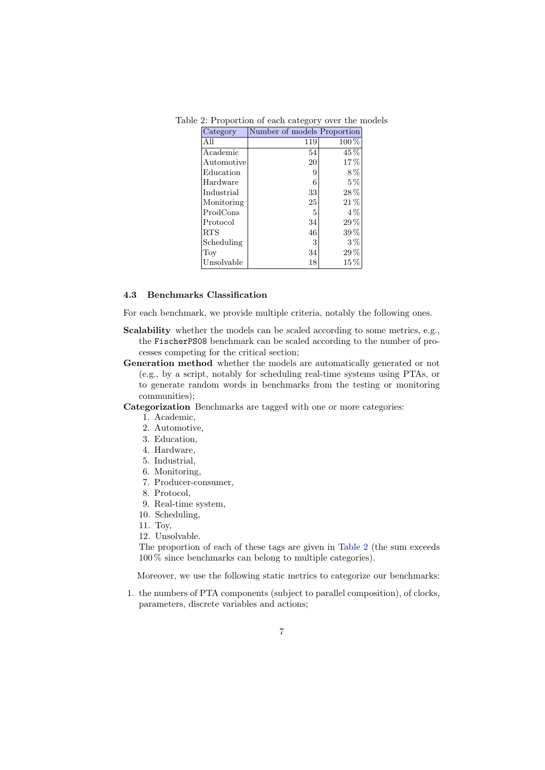| Category          | Number of models Proportion |           |
|-------------------|-----------------------------|-----------|
| All               | 119                         | $100\,\%$ |
| Academic          | 54                          | 45 %      |
| $\rm{Automotive}$ | 20                          | 17%       |
| Education         | 9                           | 8%        |
| Hardware          | 6                           | $5\%$     |
| Industrial        | 33                          | $28\,\%$  |
| Monitoring        | 25                          | $21\,\%$  |
| ProdCons          | 5                           | $4\%$     |
| Protocol          | 34                          | $29\,\%$  |
| RTS               | 46                          | $39\%$    |
| Scheduling        | 3                           | $3\%$     |
| Toy               | 34                          | $29\,\%$  |
| Unsolvable        | 18                          | $15\,\%$  |

<span id="page-6-0"></span>Table 2: Proportion of each category over the models

#### 4.3 Benchmarks Classification

For each benchmark, we provide multiple criteria, notably the following ones.

- Scalability whether the models can be scaled according to some metrics, e.g., the FischerPS08 benchmark can be scaled according to the number of processes competing for the critical section;
- Generation method whether the models are automatically generated or not (e.g., by a script, notably for scheduling real-time systems using PTAs, or to generate random words in benchmarks from the testing or monitoring communities);

Categorization Benchmarks are tagged with one or more categories:

- 1. Academic,
- 2. Automotive,
- 3. Education,
- 4. Hardware,
- 5. Industrial,
- 6. Monitoring,
- 7. Producer-consumer,
- 8. Protocol,
- 9. Real-time system,
- 10. Scheduling,
- 11. Toy,
- 12. Unsolvable.

The proportion of each of these tags are given in [Table 2](#page-6-0) (the sum exceeds 100 % since benchmarks can belong to multiple categories).

Moreover, we use the following static metrics to categorize our benchmarks:

1. the numbers of PTA components (subject to parallel composition), of clocks, parameters, discrete variables and actions;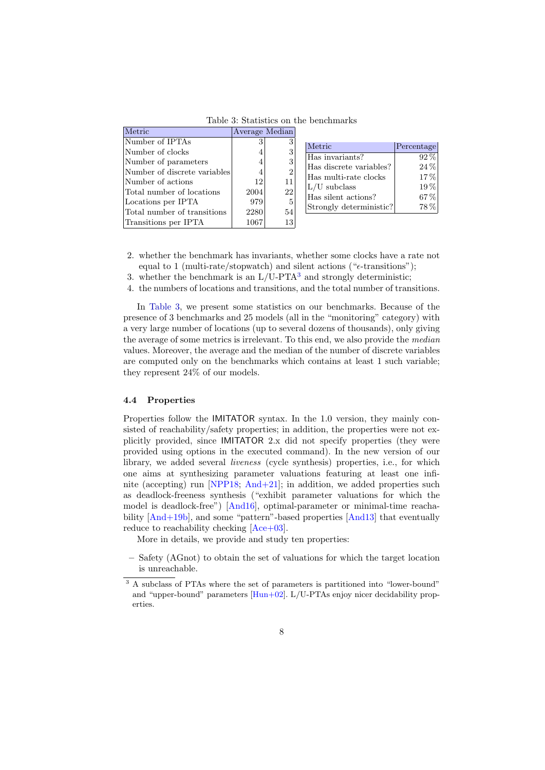<span id="page-7-2"></span><span id="page-7-1"></span>

| Metric                       | Average Median |                |
|------------------------------|----------------|----------------|
| Number of IPTAs              |                |                |
| Number of clocks             |                |                |
| Number of parameters         |                | 3              |
| Number of discrete variables |                | $\overline{2}$ |
| Number of actions            | 12             | 11             |
| Total number of locations    | 2004           | 22             |
| Locations per IPTA           | 979            | 5              |
| Total number of transitions  | 2280           | 54             |
| Transitions per IPTA         | 1067           | 13             |

Table 3: Statistics on the benchmarks

| Metric                  | Percentage |
|-------------------------|------------|
| Has invariants?         | $92\%$     |
| Has discrete variables? | $24\%$     |
| Has multi-rate clocks   | $17\%$     |
| $L/U$ subclass          | $19\%$     |
| Has silent actions?     | 67%        |
| Strongly deterministic? | 78%        |

- 2. whether the benchmark has invariants, whether some clocks have a rate not equal to 1 (multi-rate/stopwatch) and silent actions (" $\epsilon$ -transitions");
- [3](#page-7-0). whether the benchmark is an  $L/U-PTA^3$  and strongly deterministic;
- 4. the numbers of locations and transitions, and the total number of transitions.

In [Table 3,](#page-7-1) we present some statistics on our benchmarks. Because of the presence of 3 benchmarks and 25 models (all in the "monitoring" category) with a very large number of locations (up to several dozens of thousands), only giving the average of some metrics is irrelevant. To this end, we also provide the median values. Moreover, the average and the median of the number of discrete variables are computed only on the benchmarks which contains at least 1 such variable; they represent 24% of our models.

#### 4.4 Properties

Properties follow the IMITATOR syntax. In the 1.0 version, they mainly consisted of reachability/safety properties; in addition, the properties were not explicitly provided, since IMITATOR 2.x did not specify properties (they were provided using options in the executed command). In the new version of our library, we added several liveness (cycle synthesis) properties, i.e., for which one aims at synthesizing parameter valuations featuring at least one infi-nite (accepting) run [\[NPP18;](#page-14-0) [And+21\]](#page-11-0); in addition, we added properties such as deadlock-freeness synthesis ("exhibit parameter valuations for which the model is deadlock-free") [\[And16\]](#page-11-1), optimal-parameter or minimal-time reachability [\[And+19b\]](#page-11-9), and some "pattern"-based properties [\[And13\]](#page-11-10) that eventually reduce to reachability checking  $[Ace+03]$ .

More in details, we provide and study ten properties:

– Safety (AGnot) to obtain the set of valuations for which the target location is unreachable.

<span id="page-7-0"></span><sup>&</sup>lt;sup>3</sup> A subclass of PTAs where the set of parameters is partitioned into "lower-bound" and "upper-bound" parameters [\[Hun+02\]](#page-13-10). L/U-PTAs enjoy nicer decidability properties.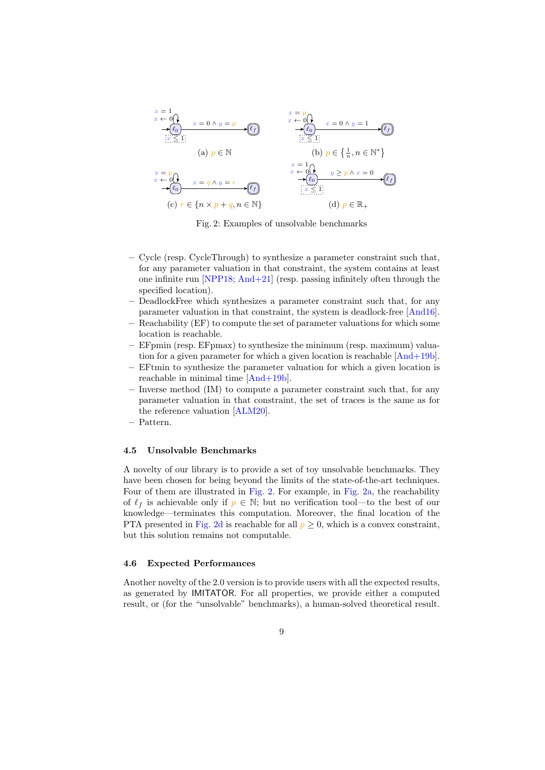<span id="page-8-1"></span><span id="page-8-0"></span>

Fig. 2: Examples of unsolvable benchmarks

- Cycle (resp. CycleThrough) to synthesize a parameter constraint such that, for any parameter valuation in that constraint, the system contains at least one infinite run [\[NPP18;](#page-14-0) [And+21\]](#page-11-0) (resp. passing infinitely often through the specified location).
- DeadlockFree which synthesizes a parameter constraint such that, for any parameter valuation in that constraint, the system is deadlock-free [\[And16\]](#page-11-1).
- Reachability (EF) to compute the set of parameter valuations for which some location is reachable.
- EFpmin (resp. EFpmax) to synthesize the minimum (resp. maximum) valuation for a given parameter for which a given location is reachable [\[And+19b\]](#page-11-9).
- EFtmin to synthesize the parameter valuation for which a given location is reachable in minimal time [\[And+19b\]](#page-11-9).
- Inverse method (IM) to compute a parameter constraint such that, for any parameter valuation in that constraint, the set of traces is the same as for the reference valuation [\[ALM20\]](#page-10-5).
- Pattern.

#### 4.5 Unsolvable Benchmarks

A novelty of our library is to provide a set of toy unsolvable benchmarks. They have been chosen for being beyond the limits of the state-of-the-art techniques. Four of them are illustrated in [Fig. 2.](#page-8-0) For example, in [Fig. 2a,](#page-8-0) the reachability of  $\ell_f$  is achievable only if  $p \in \mathbb{N}$ ; but no verification tool—to the best of our knowledge—terminates this computation. Moreover, the final location of the PTA presented in [Fig. 2d](#page-8-0) is reachable for all  $p \geq 0$ , which is a convex constraint, but this solution remains not computable.

#### 4.6 Expected Performances

Another novelty of the 2.0 version is to provide users with all the expected results, as generated by IMITATOR. For all properties, we provide either a computed result, or (for the "unsolvable" benchmarks), a human-solved theoretical result.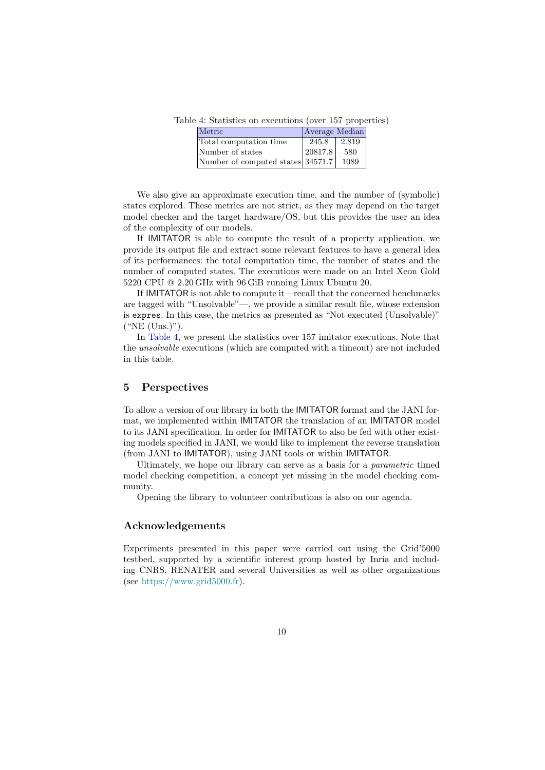<span id="page-9-1"></span>Table 4: Statistics on executions (over 157 properties)

| Metric                            | Average Median |       |
|-----------------------------------|----------------|-------|
| Total computation time            | 245.8          | 2.819 |
| Number of states                  | 20817.8        | 580   |
| Number of computed states 34571.7 |                | 1089  |

We also give an approximate execution time, and the number of (symbolic) states explored. These metrics are not strict, as they may depend on the target model checker and the target hardware/OS, but this provides the user an idea of the complexity of our models.

If IMITATOR is able to compute the result of a property application, we provide its output file and extract some relevant features to have a general idea of its performances: the total computation time, the number of states and the number of computed states. The executions were made on an Intel Xeon Gold 5220 CPU @ 2.20 GHz with 96 GiB running Linux Ubuntu 20.

If IMITATOR is not able to compute it—recall that the concerned benchmarks are tagged with "Unsolvable"—, we provide a similar result file, whose extension is expres. In this case, the metrics as presented as "Not executed (Unsolvable)" ("NE (Uns.)").

In [Table 4,](#page-9-1) we present the statistics over 157 imitator executions. Note that the unsolvable executions (which are computed with a timeout) are not included in this table.

## <span id="page-9-0"></span>5 Perspectives

To allow a version of our library in both the IMITATOR format and the JANI format, we implemented within IMITATOR the translation of an IMITATOR model to its JANI specification. In order for IMITATOR to also be fed with other existing models specified in JANI, we would like to implement the reverse translation (from JANI to IMITATOR), using JANI tools or within IMITATOR.

Ultimately, we hope our library can serve as a basis for a parametric timed model checking competition, a concept yet missing in the model checking community.

Opening the library to volunteer contributions is also on our agenda.

### Acknowledgements

Experiments presented in this paper were carried out using the Grid'5000 testbed, supported by a scientific interest group hosted by Inria and including CNRS, RENATER and several Universities as well as other organizations (see [https://www.grid5000.fr\)](https://www.grid5000.fr).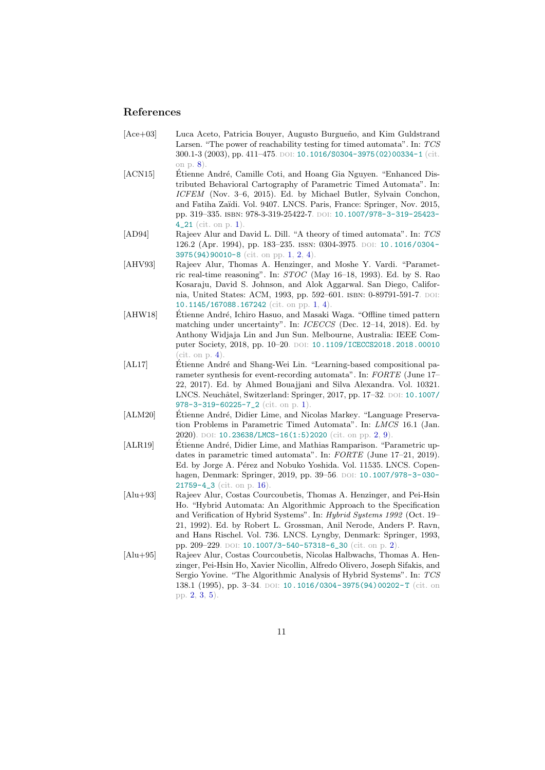## References

- <span id="page-10-8"></span>[Ace+03] Luca Aceto, Patricia Bouyer, Augusto Burgueño, and Kim Guldstrand Larsen. "The power of reachability testing for timed automata". In: TCS 300.1-3 (2003), pp. 411-475. DOI: [10.1016/S0304-3975\(02\)00334-1](https://doi.org/10.1016/S0304-3975(02)00334-1) (cit. on p. [8\)](#page-7-2).
- <span id="page-10-3"></span>[ACN15] Étienne André, Camille Coti, and Hoang Gia Nguyen. "Enhanced Distributed Behavioral Cartography of Parametric Timed Automata". In: ICFEM (Nov. 3–6, 2015). Ed. by Michael Butler, Sylvain Conchon, and Fatiha Zaïdi. Vol. 9407. LNCS. Paris, France: Springer, Nov. 2015, pp. 319-335. ISBN: 978-3-319-25422-7. DOI: [10.1007/978-3-319-25423-](https://doi.org/10.1007/978-3-319-25423-4_21) [4\\_21](https://doi.org/10.1007/978-3-319-25423-4_21) (cit. on p. [1\)](#page-0-0).
- <span id="page-10-0"></span>[AD94] Rajeev Alur and David L. Dill. "A theory of timed automata". In: TCS 126.2 (Apr. 1994), pp. 183–235. issn: 0304-3975. doi: [10.1016/0304-](https://doi.org/10.1016/0304-3975(94)90010-8) [3975\(94\)90010-8](https://doi.org/10.1016/0304-3975(94)90010-8) (cit. on pp. [1,](#page-0-0) [2,](#page-1-1) [4\)](#page-3-2).
- <span id="page-10-1"></span>[AHV93] Rajeev Alur, Thomas A. Henzinger, and Moshe Y. Vardi. "Parametric real-time reasoning". In: STOC (May 16–18, 1993). Ed. by S. Rao Kosaraju, David S. Johnson, and Alok Aggarwal. San Diego, California, United States: ACM, 1993, pp. 592-601. ISBN: 0-89791-591-7. DOI: [10.1145/167088.167242](https://doi.org/10.1145/167088.167242) (cit. on pp. [1,](#page-0-0) [4\)](#page-3-2).
- <span id="page-10-7"></span>[AHW18] Étienne André, Ichiro Hasuo, and Masaki Waga. "Offline timed pattern matching under uncertainty". In: ICECCS (Dec. 12–14, 2018). Ed. by Anthony Widjaja Lin and Jun Sun. Melbourne, Australia: IEEE Com-puter Society, 2018, pp. 10-20. DOI: [10.1109/ICECCS2018.2018.00010](https://doi.org/10.1109/ICECCS2018.2018.00010)  $(cit. on p. 4)$  $(cit. on p. 4)$
- <span id="page-10-2"></span>[AL17] Etienne André and Shang-Wei Lin. "Learning-based compositional parameter synthesis for event-recording automata". In: FORTE (June 17– 22, 2017). Ed. by Ahmed Bouajjani and Silva Alexandra. Vol. 10321. LNCS. Neuchâtel, Switzerland: Springer, 2017, pp. 17-32. DOI: [10.1007/](https://doi.org/10.1007/978-3-319-60225-7_2) [978-3-319-60225-7\\_2](https://doi.org/10.1007/978-3-319-60225-7_2) (cit. on p. [1\)](#page-0-0).
- <span id="page-10-5"></span>[ALM20] Étienne André, Didier Lime, and Nicolas Markey. "Language Preservation Problems in Parametric Timed Automata". In: LMCS 16.1 (Jan. 2020). DOI: [10.23638/LMCS-16\(1:5\)2020](https://doi.org/10.23638/LMCS-16(1:5)2020) (cit. on pp. [2,](#page-1-1) [9\)](#page-8-1).
- <span id="page-10-9"></span>[ALR19] Etienne André, Didier Lime, and Mathias Ramparison. "Parametric updates in parametric timed automata". In: FORTE (June 17–21, 2019). Ed. by Jorge A. Pérez and Nobuko Yoshida. Vol. 11535. LNCS. Copen-hagen, Denmark: Springer, 2019, pp. 39-56. DOI: [10.1007/978-3-030-](https://doi.org/10.1007/978-3-030-21759-4_3) [21759-4\\_3](https://doi.org/10.1007/978-3-030-21759-4_3) (cit. on p. [16\)](#page-15-0).
- <span id="page-10-4"></span>[Alu+93] Rajeev Alur, Costas Courcoubetis, Thomas A. Henzinger, and Pei-Hsin Ho. "Hybrid Automata: An Algorithmic Approach to the Specification and Verification of Hybrid Systems". In: Hybrid Systems 1992 (Oct. 19– 21, 1992). Ed. by Robert L. Grossman, Anil Nerode, Anders P. Ravn, and Hans Rischel. Vol. 736. LNCS. Lyngby, Denmark: Springer, 1993, pp. 209-229. DOI: [10.1007/3-540-57318-6\\_30](https://doi.org/10.1007/3-540-57318-6_30) (cit. on p. [2\)](#page-1-1).
- <span id="page-10-6"></span>[Alu+95] Rajeev Alur, Costas Courcoubetis, Nicolas Halbwachs, Thomas A. Henzinger, Pei-Hsin Ho, Xavier Nicollin, Alfredo Olivero, Joseph Sifakis, and Sergio Yovine. "The Algorithmic Analysis of Hybrid Systems". In: TCS 138.1 (1995), pp. 3-34. DOI: 10.1016/0304-3975(94)00202-T (cit. on pp. [2,](#page-1-1) [3,](#page-2-2) [5\)](#page-4-1).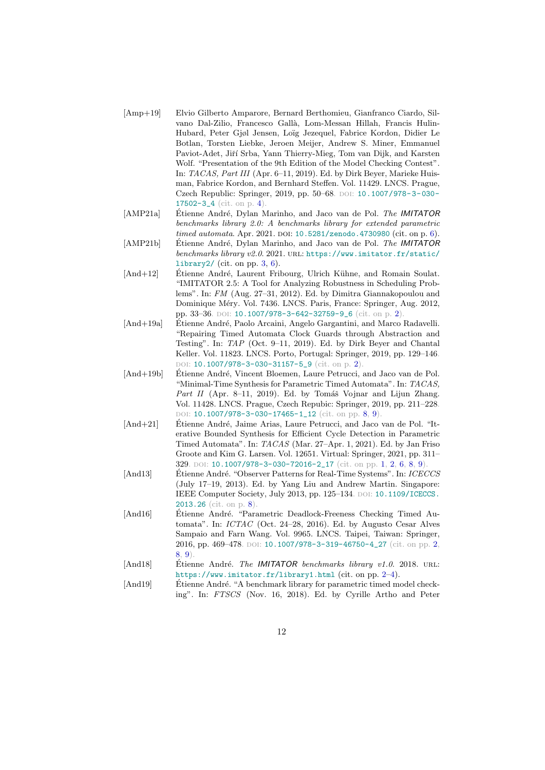- <span id="page-11-7"></span>[Amp+19] Elvio Gilberto Amparore, Bernard Berthomieu, Gianfranco Ciardo, Silvano Dal-Zilio, Francesco Gallà, Lom-Messan Hillah, Francis Hulin-Hubard, Peter Gjøl Jensen, Loïg Jezequel, Fabrice Kordon, Didier Le Botlan, Torsten Liebke, Jeroen Meijer, Andrew S. Miner, Emmanuel Paviot-Adet, Jiří Srba, Yann Thierry-Mieg, Tom van Dijk, and Karsten Wolf. "Presentation of the 9th Edition of the Model Checking Contest". In: TACAS, Part III (Apr. 6–11, 2019). Ed. by Dirk Beyer, Marieke Huisman, Fabrice Kordon, and Bernhard Steffen. Vol. 11429. LNCS. Prague, Czech Republic: Springer, 2019, pp. 50-68. DOI: [10.1007/978-3-030-](https://doi.org/10.1007/978-3-030-17502-3_4) [17502-3\\_4](https://doi.org/10.1007/978-3-030-17502-3_4) (cit. on p. [4\)](#page-3-2).
- <span id="page-11-8"></span>[AMP21a] Etienne André, Dylan Marinho, and Jaco van de Pol. *The IMITATOR* benchmarks library 2.0: A benchmarks library for extended parametric timed automata. Apr. 2021. DOI: [10.5281/zenodo.4730980](https://doi.org/10.5281/zenodo.4730980) (cit. on p. [6\)](#page-5-1).
- <span id="page-11-6"></span>[AMP21b] Etienne André, Dylan Marinho, and Jaco van de Pol. The IMITATOR benchmarks library v2.0. 2021. URL: [https://www.imitator.fr/static/](https://www.imitator.fr/static/library2/) [library2/](https://www.imitator.fr/static/library2/) (cit. on pp.  $3, 6$  $3, 6$ ).
- <span id="page-11-5"></span>[And+12] Etienne André, Laurent Fribourg, Ulrich Kühne, and Romain Soulat. "IMITATOR 2.5: A Tool for Analyzing Robustness in Scheduling Problems". In: FM (Aug. 27–31, 2012). Ed. by Dimitra Giannakopoulou and Dominique Méry. Vol. 7436. LNCS. Paris, France: Springer, Aug. 2012, pp. 33-36. DOI: [10.1007/978-3-642-32759-9\\_6](https://doi.org/10.1007/978-3-642-32759-9_6) (cit. on p. [2\)](#page-1-1).
- <span id="page-11-2"></span>[And+19a] Etienne André, Paolo Arcaini, Angelo Gargantini, and Marco Radavelli. "Repairing Timed Automata Clock Guards through Abstraction and Testing". In: TAP (Oct. 9–11, 2019). Ed. by Dirk Beyer and Chantal Keller. Vol. 11823. LNCS. Porto, Portugal: Springer, 2019, pp. 129–146. DOI: [10.1007/978-3-030-31157-5\\_9](https://doi.org/10.1007/978-3-030-31157-5_9) (cit. on p. [2\)](#page-1-1).
- <span id="page-11-9"></span>[And+19b] Etienne André, Vincent Bloemen, Laure Petrucci, and Jaco van de Pol. "Minimal-Time Synthesis for Parametric Timed Automata". In: TACAS, Part II (Apr. 8–11, 2019). Ed. by Tomáš Vojnar and Lijun Zhang. Vol. 11428. LNCS. Prague, Czech Repubic: Springer, 2019, pp. 211–228. DOI: [10.1007/978-3-030-17465-1\\_12](https://doi.org/10.1007/978-3-030-17465-1_12) (cit. on pp. [8,](#page-7-2) [9\)](#page-8-1).
- <span id="page-11-0"></span>[And+21] Etienne André, Jaime Arias, Laure Petrucci, and Jaco van de Pol. "Iterative Bounded Synthesis for Efficient Cycle Detection in Parametric Timed Automata". In: TACAS (Mar. 27–Apr. 1, 2021). Ed. by Jan Friso Groote and Kim G. Larsen. Vol. 12651. Virtual: Springer, 2021, pp. 311– 329. DOI: [10.1007/978-3-030-72016-2\\_17](https://doi.org/10.1007/978-3-030-72016-2_17) (cit. on pp. [1,](#page-0-0) [2,](#page-1-1) [6,](#page-5-1) [8,](#page-7-2) [9\)](#page-8-1).
- <span id="page-11-10"></span>[And13] Etienne André. "Observer Patterns for Real-Time Systems". In: ICECCS (July 17–19, 2013). Ed. by Yang Liu and Andrew Martin. Singapore: IEEE Computer Society, July 2013, pp. 125-134. DOI: [10.1109/ICECCS.](https://doi.org/10.1109/ICECCS.2013.26) [2013.26](https://doi.org/10.1109/ICECCS.2013.26) (cit. on p. [8\)](#page-7-2).
- <span id="page-11-1"></span>[And16] Etienne André. "Parametric Deadlock-Freeness Checking Timed Automata". In: ICTAC (Oct. 24–28, 2016). Ed. by Augusto Cesar Alves Sampaio and Farn Wang. Vol. 9965. LNCS. Taipei, Taiwan: Springer, 2016, pp. 469-478. DOI: [10.1007/978-3-319-46750-4\\_27](https://doi.org/10.1007/978-3-319-46750-4_27) (cit. on pp. [2,](#page-1-1) [8,](#page-7-2) [9\)](#page-8-1).
- <span id="page-11-4"></span>[And18]  $\qquad$  Étienne André. *The IMITATOR benchmarks library v1.0.* 2018. URL: <https://www.imitator.fr/library1.html> (cit. on pp. [2–](#page-1-1)[4\)](#page-3-2).
- <span id="page-11-3"></span>[And19] Étienne André. "A benchmark library for parametric timed model checking". In: FTSCS (Nov. 16, 2018). Ed. by Cyrille Artho and Peter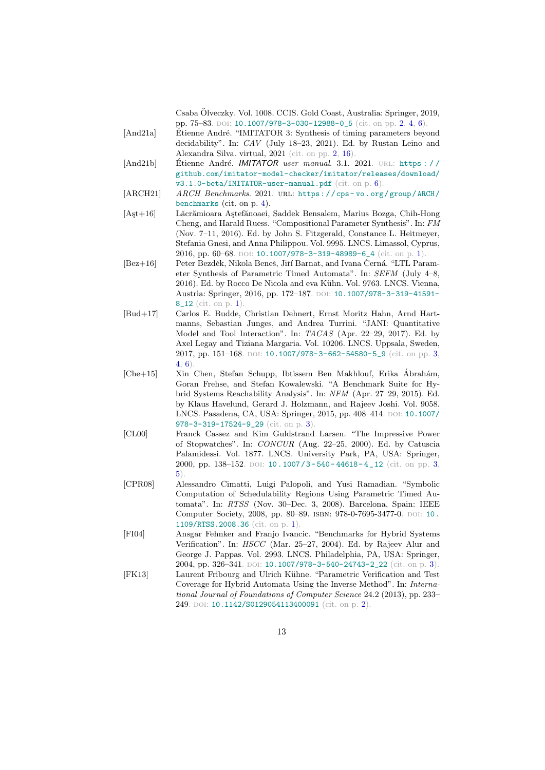Csaba Olveczky. Vol. 1008. CCIS. Gold Coast, Australia: Springer, 2019, ¨ pp.  $75-83$ . DOI: [10.1007/978-3-030-12988-0\\_5](https://doi.org/10.1007/978-3-030-12988-0_5) (cit. on pp. [2,](#page-1-1) [4,](#page-3-2) [6\)](#page-5-1).

- <span id="page-12-4"></span>[And21a] Etienne André. "IMITATOR 3: Synthesis of timing parameters beyond decidability". In: CAV (July 18–23, 2021). Ed. by Rustan Leino and Alexandra Silva. virtual, 2021 (cit. on pp. [2,](#page-1-1) [16\)](#page-15-0).
- <span id="page-12-10"></span> $[\text{And21b}]$  Etienne André. *IMITATOR user manual.* 3.1. 2021. URL: https:// [github.com/imitator-model-checker/imitator/releases/download/](https://github.com/imitator-model-checker/imitator/releases/download/v3.1.0-beta/IMITATOR-user-manual.pdf) [v3.1.0-beta/IMITATOR-user-manual.pdf](https://github.com/imitator-model-checker/imitator/releases/download/v3.1.0-beta/IMITATOR-user-manual.pdf) (cit. on p. [6\)](#page-5-1).
- <span id="page-12-9"></span>[ARCH21] ARCH Benchmarks. 2021. URL: https://cps-vo.org/group/ARCH/ [benchmarks](https://cps-vo.org/group/ARCH/benchmarks) (cit. on p. [4\)](#page-3-2).
- <span id="page-12-0"></span>[Ast+16] Lăcrămioara Astefănoaei, Saddek Bensalem, Marius Bozga, Chih-Hong Cheng, and Harald Ruess. "Compositional Parameter Synthesis". In: FM (Nov. 7–11, 2016). Ed. by John S. Fitzgerald, Constance L. Heitmeyer, Stefania Gnesi, and Anna Philippou. Vol. 9995. LNCS. Limassol, Cyprus, 2016, pp. 60–68. DOI: [10.1007/978-3-319-48989-6\\_4](https://doi.org/10.1007/978-3-319-48989-6_4) (cit. on p. [1\)](#page-0-0).
- <span id="page-12-1"></span> $[Bez+16]$  Peter Bezděk, Nikola Beneš, Jiří Barnat, and Ivana Černá. "LTL Parameter Synthesis of Parametric Timed Automata". In: SEFM (July 4–8, 2016). Ed. by Rocco De Nicola and eva Kühn. Vol. 9763. LNCS. Vienna, Austria: Springer, 2016, pp. 172-187. DOI: [10.1007/978-3-319-41591-](https://doi.org/10.1007/978-3-319-41591-8_12) [8\\_12](https://doi.org/10.1007/978-3-319-41591-8_12) (cit. on p. [1\)](#page-0-0).
- <span id="page-12-6"></span>[Bud+17] Carlos E. Budde, Christian Dehnert, Ernst Moritz Hahn, Arnd Hartmanns, Sebastian Junges, and Andrea Turrini. "JANI: Quantitative Model and Tool Interaction". In: TACAS (Apr. 22–29, 2017). Ed. by Axel Legay and Tiziana Margaria. Vol. 10206. LNCS. Uppsala, Sweden, 2017, pp. 151-168. DOI: [10.1007/978-3-662-54580-5\\_9](https://doi.org/10.1007/978-3-662-54580-5_9) (cit. on pp. [3,](#page-2-2) [4,](#page-3-2) [6\)](#page-5-1).
- <span id="page-12-8"></span>[Che+15] Xin Chen, Stefan Schupp, Ibtissem Ben Makhlouf, Erika Ábrahám, Goran Frehse, and Stefan Kowalewski. "A Benchmark Suite for Hybrid Systems Reachability Analysis". In: NFM (Apr. 27–29, 2015). Ed. by Klaus Havelund, Gerard J. Holzmann, and Rajeev Joshi. Vol. 9058. LNCS. Pasadena, CA, USA: Springer, 2015, pp. 408-414. DOI: [10.1007/](https://doi.org/10.1007/978-3-319-17524-9_29) [978-3-319-17524-9\\_29](https://doi.org/10.1007/978-3-319-17524-9_29) (cit. on p. [3\)](#page-2-2).
- <span id="page-12-5"></span>[CL00] Franck Cassez and Kim Guldstrand Larsen. "The Impressive Power of Stopwatches". In: CONCUR (Aug. 22–25, 2000). Ed. by Catuscia Palamidessi. Vol. 1877. LNCS. University Park, PA, USA: Springer, 2000, pp. 138-152. DOI: 10.1007/3-540-44618-4\_12 (cit. on pp. [3,](#page-2-2) [5\)](#page-4-1).
- <span id="page-12-2"></span>[CPR08] Alessandro Cimatti, Luigi Palopoli, and Yusi Ramadian. "Symbolic Computation of Schedulability Regions Using Parametric Timed Automata". In: RTSS (Nov. 30-Dec. 3, 2008). Barcelona, Spain: IEEE Computer Society, 2008, pp. 80-89. ISBN: 978-0-7695-3477-0. DOI: [10.](https://doi.org/10.1109/RTSS.2008.36) [1109/RTSS.2008.36](https://doi.org/10.1109/RTSS.2008.36) (cit. on p. [1\)](#page-0-0).
- <span id="page-12-7"></span>[FI04] Ansgar Fehnker and Franjo Ivancic. "Benchmarks for Hybrid Systems Verification". In: HSCC (Mar. 25–27, 2004). Ed. by Rajeev Alur and George J. Pappas. Vol. 2993. LNCS. Philadelphia, PA, USA: Springer, 2004, pp. 326-341. DOI: [10.1007/978-3-540-24743-2\\_22](https://doi.org/10.1007/978-3-540-24743-2_22) (cit. on p. [3\)](#page-2-2).
- <span id="page-12-3"></span>[FK13] Laurent Fribourg and Ulrich Kühne. "Parametric Verification and Test Coverage for Hybrid Automata Using the Inverse Method". In: International Journal of Foundations of Computer Science 24.2 (2013), pp. 233– 249. DOI: [10.1142/S0129054113400091](https://doi.org/10.1142/S0129054113400091) (cit. on p. [2\)](#page-1-1).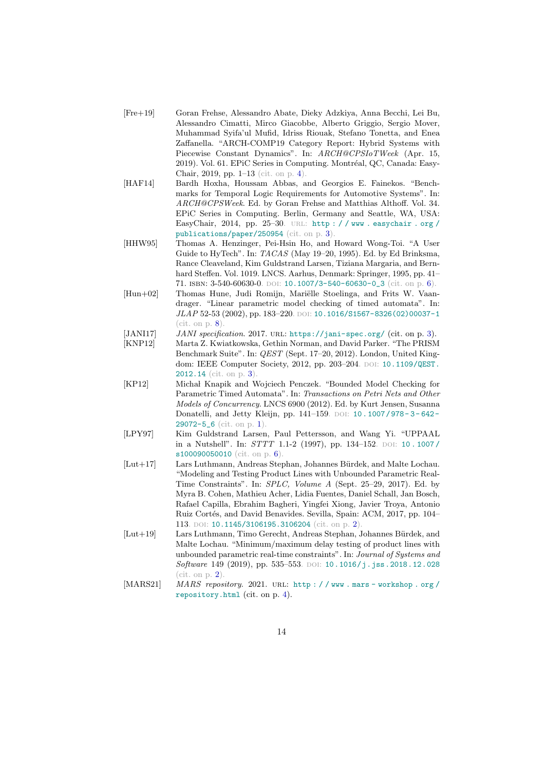- <span id="page-13-6"></span>[Fre+19] Goran Frehse, Alessandro Abate, Dieky Adzkiya, Anna Becchi, Lei Bu, Alessandro Cimatti, Mirco Giacobbe, Alberto Griggio, Sergio Mover, Muhammad Syifa'ul Mufid, Idriss Riouak, Stefano Tonetta, and Enea Zaffanella. "ARCH-COMP19 Category Report: Hybrid Systems with Piecewise Constant Dynamics". In: ARCH@CPSIoTWeek (Apr. 15, 2019). Vol. 61. EPiC Series in Computing. Montréal, QC, Canada: Easy-Chair, 2019, pp. 1–13 (cit. on p. [4\)](#page-3-2).
- <span id="page-13-5"></span>[HAF14] Bardh Hoxha, Houssam Abbas, and Georgios E. Fainekos. "Benchmarks for Temporal Logic Requirements for Automotive Systems". In: ARCH@CPSWeek. Ed. by Goran Frehse and Matthias Althoff. Vol. 34. EPiC Series in Computing. Berlin, Germany and Seattle, WA, USA: EasyChair, 2014, pp. 25–30. url: [http : / / www . easychair . org /](http://www.easychair.org/publications/paper/250954) [publications/paper/250954](http://www.easychair.org/publications/paper/250954) (cit. on p. [3\)](#page-2-2).
- <span id="page-13-9"></span>[HHW95] Thomas A. Henzinger, Pei-Hsin Ho, and Howard Wong-Toi. "A User Guide to HyTech". In: TACAS (May 19–20, 1995). Ed. by Ed Brinksma, Rance Cleaveland, Kim Guldstrand Larsen, Tiziana Margaria, and Bernhard Steffen. Vol. 1019. LNCS. Aarhus, Denmark: Springer, 1995, pp. 41– 71. isbn: 3-540-60630-0. doi: [10.1007/3-540-60630-0\\_3](https://doi.org/10.1007/3-540-60630-0_3) (cit. on p. [6\)](#page-5-1).
- <span id="page-13-10"></span>[Hun+02] Thomas Hune, Judi Romijn, Mariëlle Stoelinga, and Frits W. Vaandrager. "Linear parametric model checking of timed automata". In: JLAP 52-53 (2002), pp. 183-220. DOI: [10.1016/S1567-8326\(02\)00037-1](https://doi.org/10.1016/S1567-8326(02)00037-1)  $(cit. on p. 8)$  $(cit. on p. 8)$ .
- <span id="page-13-3"></span>[JANI17] JANI specification. 2017. URL: <https://jani-spec.org/> (cit. on p. [3\)](#page-2-2).<br>[KNP12] Marta Z. Kwiatkowska, Gethin Norman, and David Parker. "The PRISM"
- <span id="page-13-4"></span>Marta Z. Kwiatkowska, Gethin Norman, and David Parker. "The PRISM Benchmark Suite". In: QEST (Sept. 17–20, 2012). London, United King-dom: IEEE Computer Society, 2012, pp. 203-204. DOI: [10.1109/QEST.](https://doi.org/10.1109/QEST.2012.14) [2012.14](https://doi.org/10.1109/QEST.2012.14) (cit. on p. [3\)](#page-2-2).
- <span id="page-13-0"></span>[KP12] Michał Knapik and Wojciech Penczek. "Bounded Model Checking for Parametric Timed Automata". In: Transactions on Petri Nets and Other Models of Concurrency. LNCS 6900 (2012). Ed. by Kurt Jensen, Susanna Donatelli, and Jetty Kleijn, pp. 141-159. DOI: 10. 1007/ 978-3-642-[29072-5\\_6](https://doi.org/10.1007/978-3-642-29072-5_6) (cit. on p. [1\)](#page-0-0).
- <span id="page-13-8"></span>[LPY97] Kim Guldstrand Larsen, Paul Pettersson, and Wang Yi. "UPPAAL in a Nutshell". In:  $STTT$  1.1-2 (1997), pp. 134-152. DOI: 10.1007/ [s100090050010](https://doi.org/10.1007/s100090050010) (cit. on p. [6\)](#page-5-1).
- <span id="page-13-1"></span>[Lut+17] Lars Luthmann, Andreas Stephan, Johannes B¨urdek, and Malte Lochau. "Modeling and Testing Product Lines with Unbounded Parametric Real-Time Constraints". In: SPLC, Volume A (Sept. 25–29, 2017). Ed. by Myra B. Cohen, Mathieu Acher, Lidia Fuentes, Daniel Schall, Jan Bosch, Rafael Capilla, Ebrahim Bagheri, Yingfei Xiong, Javier Troya, Antonio Ruiz Cortés, and David Benavides. Sevilla, Spain: ACM, 2017, pp. 104– 113. DOI: [10.1145/3106195.3106204](https://doi.org/10.1145/3106195.3106204) (cit. on p. [2\)](#page-1-1).
- <span id="page-13-2"></span>[Lut+19] Lars Luthmann, Timo Gerecht, Andreas Stephan, Johannes Bürdek, and Malte Lochau. "Minimum/maximum delay testing of product lines with unbounded parametric real-time constraints". In: Journal of Systems and Software 149 (2019), pp. 535-553. DOI: [10.1016/j.jss.2018.12.028](https://doi.org/10.1016/j.jss.2018.12.028) (cit. on  $p. 2$ )
- <span id="page-13-7"></span>[MARS21] MARS repository. 2021. URL: http://www.mars-workshop.org/ [repository.html](http://www.mars-workshop.org/repository.html) (cit. on p. [4\)](#page-3-2).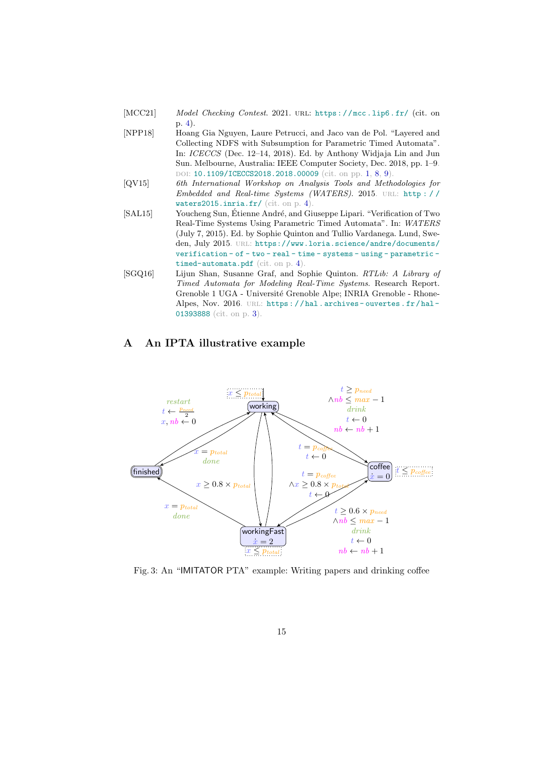- <span id="page-14-2"></span>[MCC21] Model Checking Contest. 2021. URL: https://mcc.lip6.fr/ (cit. on p. [4\)](#page-3-2).
- <span id="page-14-0"></span>[NPP18] Hoang Gia Nguyen, Laure Petrucci, and Jaco van de Pol. "Layered and Collecting NDFS with Subsumption for Parametric Timed Automata". In: ICECCS (Dec. 12–14, 2018). Ed. by Anthony Widjaja Lin and Jun Sun. Melbourne, Australia: IEEE Computer Society, Dec. 2018, pp. 1–9. DOI: [10.1109/ICECCS2018.2018.00009](https://doi.org/10.1109/ICECCS2018.2018.00009) (cit. on pp. [1,](#page-0-0) [8,](#page-7-2) [9\)](#page-8-1).
- <span id="page-14-3"></span>[QV15] 6th International Workshop on Analysis Tools and Methodologies for Embedded and Real-time Systems (WATERS). 2015. URL: http:// [waters2015.inria.fr/](http://waters2015.inria.fr/) (cit. on p. [4\)](#page-3-2).
- <span id="page-14-4"></span>[SAL15] Youcheng Sun, Étienne André, and Giuseppe Lipari. "Verification of Two Real-Time Systems Using Parametric Timed Automata". In: WATERS (July 7, 2015). Ed. by Sophie Quinton and Tullio Vardanega. Lund, Sweden, July 2015. URL: [https://www.loria.science/andre/documents/](https://www.loria.science/andre/documents/verification-of-two-real-time-systems-using-parametric-timed-automata.pdf) [verification - of - two - real - time - systems - using - parametric](https://www.loria.science/andre/documents/verification-of-two-real-time-systems-using-parametric-timed-automata.pdf)  [timed-automata.pdf](https://www.loria.science/andre/documents/verification-of-two-real-time-systems-using-parametric-timed-automata.pdf) (cit. on p. [4\)](#page-3-2).
- <span id="page-14-1"></span>[SGQ16] Lijun Shan, Susanne Graf, and Sophie Quinton. RTLib: A Library of Timed Automata for Modeling Real-Time Systems. Research Report. Grenoble 1 UGA - Université Grenoble Alpe; INRIA Grenoble - Rhone-Alpes, Nov. 2016. URL: https://hal.archives-ouvertes.fr/hal-[01393888](https://hal.archives-ouvertes.fr/hal-01393888) (cit. on p. [3\)](#page-2-2).

# <span id="page-14-7"></span>A An IPTA illustrative example

<span id="page-14-5"></span>

<span id="page-14-6"></span>Fig. 3: An "IMITATOR PTA" example: Writing papers and drinking coffee